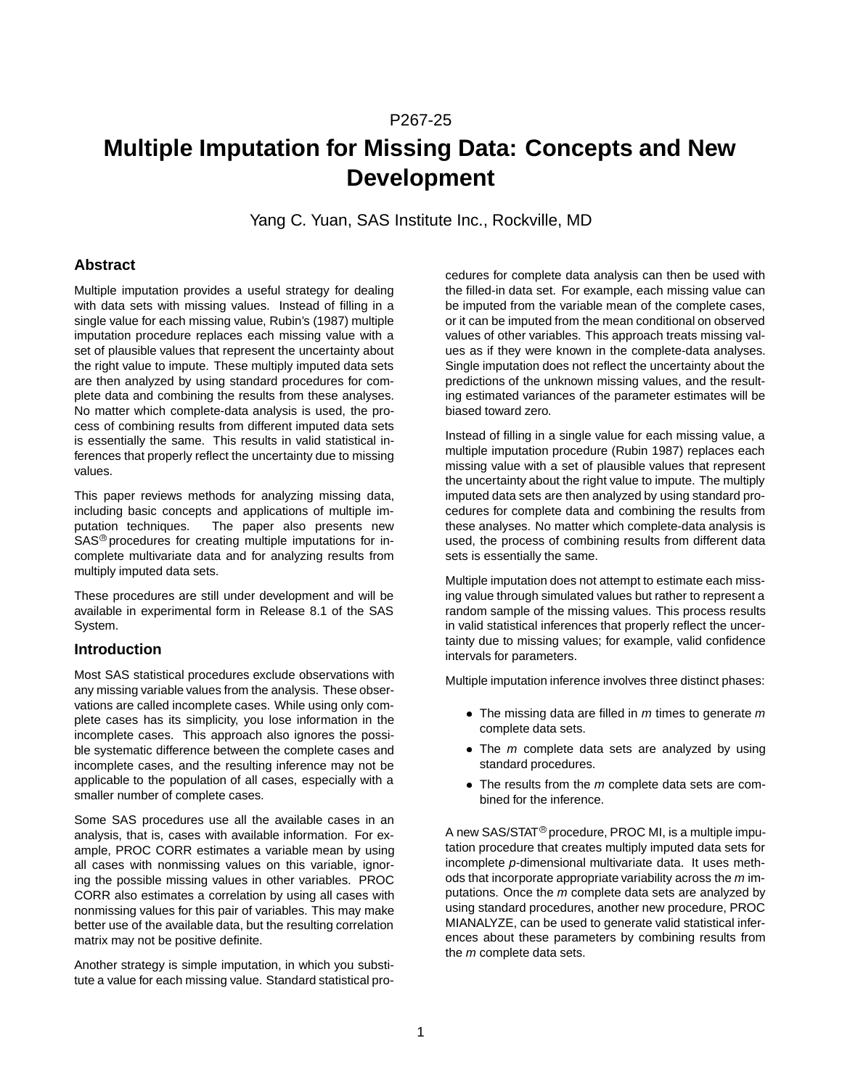# P267-25

# **Multiple Imputation for Missing Data: Concepts and New Development**

Yang C. Yuan, SAS Institute Inc., Rockville, MD

## **Abstract**

Multiple imputation provides a useful strategy for dealing with data sets with missing values. Instead of filling in a single value for each missing value, Rubin's (1987) multiple imputation procedure replaces each missing value with a set of plausible values that represent the uncertainty about the right value to impute. These multiply imputed data sets are then analyzed by using standard procedures for complete data and combining the results from these analyses. No matter which complete-data analysis is used, the process of combining results from different imputed data sets is essentially the same. This results in valid statistical inferences that properly reflect the uncertainty due to missing values.

This paper reviews methods for analyzing missing data, including basic concepts and applications of multiple imputation techniques. The paper also presents new SAS<sup>®</sup> procedures for creating multiple imputations for incomplete multivariate data and for analyzing results from multiply imputed data sets.

These procedures are still under development and will be available in experimental form in Release 8.1 of the SAS System.

# **Introduction**

Most SAS statistical procedures exclude observations with any missing variable values from the analysis. These observations are called incomplete cases. While using only complete cases has its simplicity, you lose information in the incomplete cases. This approach also ignores the possible systematic difference between the complete cases and incomplete cases, and the resulting inference may not be applicable to the population of all cases, especially with a smaller number of complete cases.

Some SAS procedures use all the available cases in an analysis, that is, cases with available information. For example, PROC CORR estimates a variable mean by using all cases with nonmissing values on this variable, ignoring the possible missing values in other variables. PROC CORR also estimates a correlation by using all cases with nonmissing values for this pair of variables. This may make better use of the available data, but the resulting correlation matrix may not be positive definite.

Another strategy is simple imputation, in which you substitute a value for each missing value. Standard statistical procedures for complete data analysis can then be used with the filled-in data set. For example, each missing value can be imputed from the variable mean of the complete cases, or it can be imputed from the mean conditional on observed values of other variables. This approach treats missing values as if they were known in the complete-data analyses. Single imputation does not reflect the uncertainty about the predictions of the unknown missing values, and the resulting estimated variances of the parameter estimates will be biased toward zero.

Instead of filling in a single value for each missing value, a multiple imputation procedure (Rubin 1987) replaces each missing value with a set of plausible values that represent the uncertainty about the right value to impute. The multiply imputed data sets are then analyzed by using standard procedures for complete data and combining the results from these analyses. No matter which complete-data analysis is used, the process of combining results from different data sets is essentially the same.

Multiple imputation does not attempt to estimate each missing value through simulated values but rather to represent a random sample of the missing values. This process results in valid statistical inferences that properly reflect the uncertainty due to missing values; for example, valid confidence intervals for parameters.

Multiple imputation inference involves three distinct phases:

- The missing data are filled in  $m$  times to generate  $m$ complete data sets.
- $\bullet$  The  $m$  complete data sets are analyzed by using standard procedures.
- $\bullet$  The results from the  $m$  complete data sets are combined for the inference.

A new SAS/STAT<sup>®</sup> procedure, PROC MI, is a multiple imputation procedure that creates multiply imputed data sets for incomplete p-dimensional multivariate data. It uses methods that incorporate appropriate variability across the  $m$  imputations. Once the m complete data sets are analyzed by using standard procedures, another new procedure, PROC MIANALYZE, can be used to generate valid statistical inferences about these parameters by combining results from the *m* complete data sets.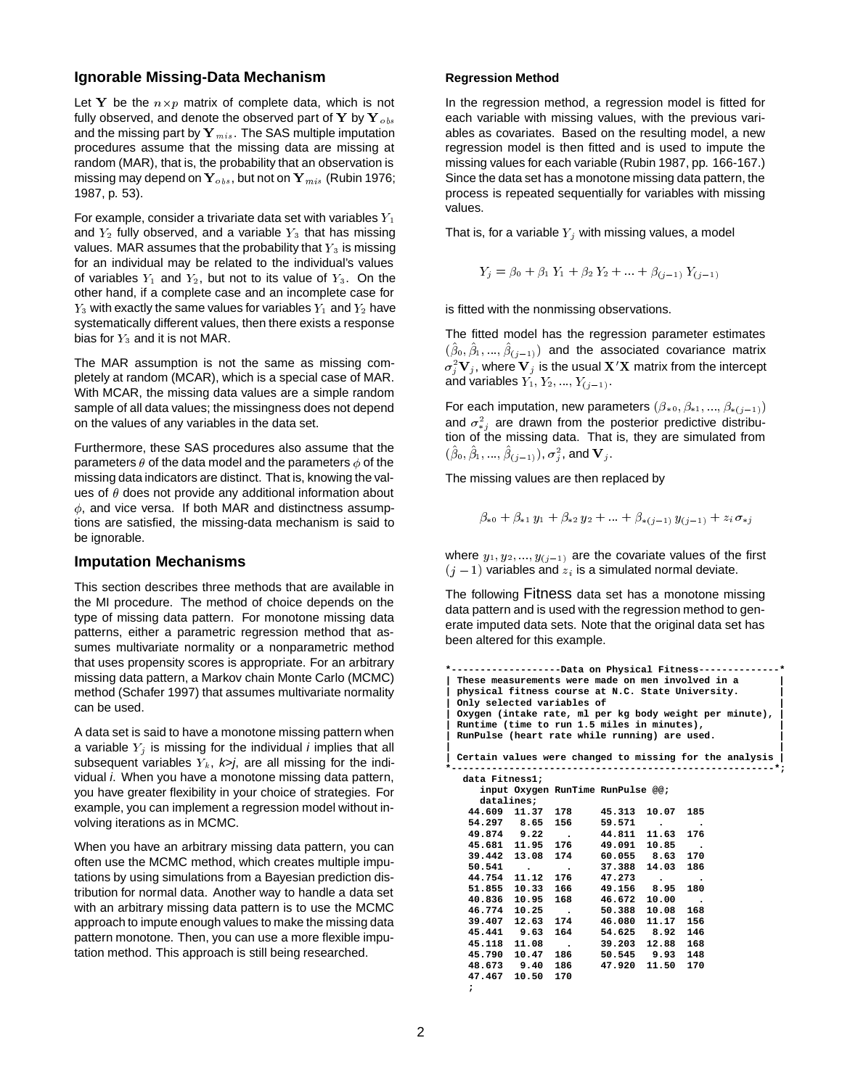# **Ignorable Missing-Data Mechanism**

Let Y be the  $n \times p$  matrix of complete data, which is not fully observed, and denote the observed part of Y by Y  $_{obs}$ and the missing part by  $Y_{mis}$ . The SAS multiple imputation procedures assume that the missing data are missing at random (MAR), that is, the probability that an observation is missing may depend on  $Y_{obs}$ , but not on  $Y_{mis}$  (Rubin 1976; 1987, p. 53).

For example, consider a trivariate data set with variables  $Y_1$ and  $Y_2$  fully observed, and a variable  $Y_3$  that has missing values. MAR assumes that the probability that  $Y_3$  is missing for an individual may be related to the individual's values of variables  $Y_1$  and  $Y_2$ , but not to its value of  $Y_3$ . On the other hand, if a complete case and an incomplete case for  $Y_3$  with exactly the same values for variables  $Y_1$  and  $Y_2$  have systematically different values, then there exists a response bias for  $Y_3$  and it is not MAR.

The MAR assumption is not the same as missing completely at random (MCAR), which is a special case of MAR. With MCAR, the missing data values are a simple random sample of all data values; the missingness does not depend on the values of any variables in the data set.

Furthermore, these SAS procedures also assume that the parameters  $\theta$  of the data model and the parameters  $\phi$  of the missing data indicators are distinct. That is, knowing the values of  $\theta$  does not provide any additional information about  $\phi$ , and vice versa. If both MAR and distinctness assumptions are satisfied, the missing-data mechanism is said to be ignorable.

### **Imputation Mechanisms**

This section describes three methods that are available in the MI procedure. The method of choice depends on the type of missing data pattern. For monotone missing data patterns, either a parametric regression method that assumes multivariate normality or a nonparametric method that uses propensity scores is appropriate. For an arbitrary missing data pattern, a Markov chain Monte Carlo (MCMC) method (Schafer 1997) that assumes multivariate normality can be used.

A data set is said to have a monotone missing pattern when a variable  $Y_j$  is missing for the individual *i* implies that all subsequent variables  $Y_k$ ,  $k$ , are all missing for the individual *i*. When you have a monotone missing data pattern, you have greater flexibility in your choice of strategies. For example, you can implement a regression model without involving iterations as in MCMC.

When you have an arbitrary missing data pattern, you can often use the MCMC method, which creates multiple imputations by using simulations from a Bayesian prediction distribution for normal data. Another way to handle a data set with an arbitrary missing data pattern is to use the MCMC approach to impute enough values to make the missing data pattern monotone. Then, you can use a more flexible imputation method. This approach is still being researched.

#### **Regression Method**

In the regression method, a regression model is fitted for each variable with missing values, with the previous variables as covariates. Based on the resulting model, a new regression model is then fitted and is used to impute the missing values for each variable (Rubin 1987, pp. 166-167.) Since the data set has a monotone missing data pattern, the process is repeated sequentially for variables with missing values.

That is, for a variable  $Y_i$  with missing values, a model

$$
Y_j = \beta_0 + \beta_1 Y_1 + \beta_2 Y_2 + \dots + \beta_{(j-1)} Y_{(j-1)}
$$

is fitted with the nonmissing observations.

The fitted model has the regression parameter estimates  $(\beta_0, \beta_1, ..., \beta_{(j-1)})$  and the associated covariance matrix  $\sigma_i^2 \mathbf{V}_j$ , where  $\mathbf{V}_j$  is the usual  $\mathbf{X}'\mathbf{X}$  matrix from the intercept and variables  $Y_1, Y_2, ..., Y_{(j-1)}$ .

For each imputation, new parameters  $(\beta_{*0}, \beta_{*1}, ..., \beta_{*(j-1)})$ and  $\sigma_{*j}^2$  are drawn from the posterior predictive distribution of the missing data. That is, they are simulated from  $(\beta_0, \beta_1, ..., \beta_{(j-1)}), \, \sigma_i^2,$  and  $\mathbf{V}_j.$ 

The missing values are then replaced by

 $\beta_{*0} + \beta_{*1} y_1 + \beta_{*2} y_2 + \ldots + \beta_{*(i-1)} y_{(i-1)} + z_i \sigma_{*i}$ 

where  $y_1, y_2, ..., y_{(j-1)}$  are the covariate values of the first  $(j - 1)$  variables and  $z_i$  is a simulated normal deviate.

The following Fitness data set has a monotone missing data pattern and is used with the regression method to generate imputed data sets. Note that the original data set has been altered for this example.

```
*-------------------Data on Physical Fitness--------------*
 | These measurements were made on men involved in a |
 | physical fitness course at N.C. State University. |
 | Only selected variables of |
 | Oxygen (intake rate, ml per kg body weight per minute), |
 | Runtime (time to run 1.5 miles in minutes), |
 | RunPulse (heart rate while running) are used. |
| |
 | Certain values were changed to missing for the analysis |
*--------------------------------------------------------*;
  data Fitness1;
     input Oxygen RunTime RunPulse @@;
   datalines;<br>44.609 11.37
   44.609 11.37 178 45.313 10.07 185
            54.65 156 59.571 . .<br>54.811 11.63 176
   49.874 9.22 . 44.811 11.63 176
           45.681 11.95 176 49.091 10.85 .
   39.442 13.08 174 60.055 8.63 170
   50.541 . . 37.388<br>44.754 11.12 176 47.273
   44.754 11.12 176 47.273 . .
   51.855 10.33 166 49.156 8.95 180
                           40.836 10.95 168 46.672 10.00 .
   46.774 10.25 . 50.388 10.08<br>39.407 12.63 174 46.080 11.17
   39.407 12.63 174 46.080 11.17 156
   45.441 9.63 164 54.625 8.92 146
            45.11.08 . 39.203 12.88 168<br>10.47 186 50.545 9.93 148
   45.790 10.47 186 50.545 9.93 148
                           48.673 9.40 186 47.920 11.50 170
   47.467 10.50 170
   ;
```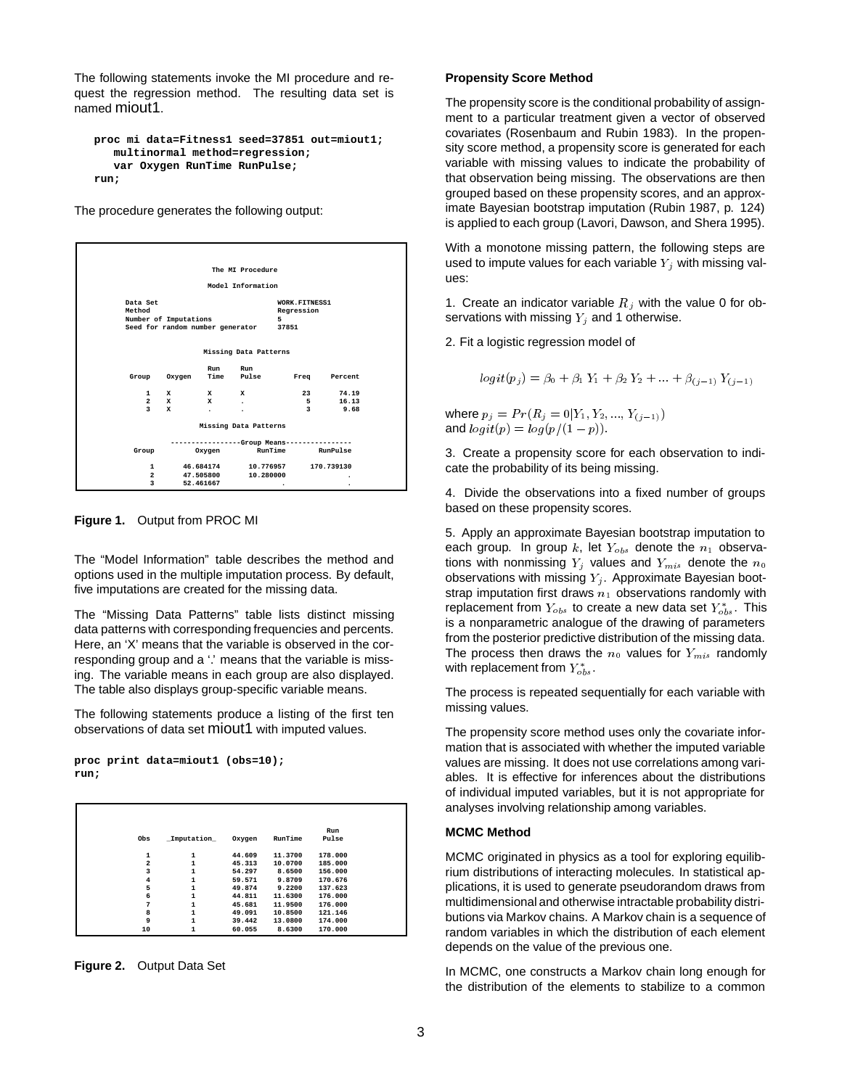The following statements invoke the MI procedure and request the regression method. The resulting data set is named miout1.

```
proc mi data=Fitness1 seed=37851 out=miout1;
  multinormal method=regression;
   var Oxygen RunTime RunPulse;
run;
```
The procedure generates the following output:



**Figure 1.** Output from PROC MI

The "Model Information" table describes the method and options used in the multiple imputation process. By default, five imputations are created for the missing data.

The "Missing Data Patterns" table lists distinct missing data patterns with corresponding frequencies and percents. Here, an 'X' means that the variable is observed in the corresponding group and a '.' means that the variable is missing. The variable means in each group are also displayed. The table also displays group-specific variable means.

The following statements produce a listing of the first ten observations of data set miout1 with imputed values.

**proc print data=miout1 (obs=10); run;**

|                |              |        |         | Run     |  |
|----------------|--------------|--------|---------|---------|--|
| Obs            | Imputation   | Oxygen | RunTime | Pulse   |  |
| 1              | 1            | 44.609 | 11.3700 | 178,000 |  |
| $\overline{2}$ | $\mathbf{1}$ | 45.313 | 10.0700 | 185,000 |  |
| 3              | 1            | 54.297 | 8.6500  | 156,000 |  |
| $\overline{4}$ | 1            | 59.571 | 9.8709  | 170.676 |  |
| 5              | 1            | 49.874 | 9.2200  | 137.623 |  |
| 6              | $\mathbf{1}$ | 44.811 | 11.6300 | 176,000 |  |
| 7              | 1            | 45.681 | 11,9500 | 176,000 |  |
| 8              | 1            | 49.091 | 10.8500 | 121.146 |  |
| 9              | 1            | 39.442 | 13,0800 | 174.000 |  |
| 10             | $\mathbf{1}$ | 60.055 | 8.6300  | 170.000 |  |

**Figure 2.** Output Data Set

#### **Propensity Score Method**

The propensity score is the conditional probability of assignment to a particular treatment given a vector of observed covariates (Rosenbaum and Rubin 1983). In the propensity score method, a propensity score is generated for each variable with missing values to indicate the probability of that observation being missing. The observations are then grouped based on these propensity scores, and an approximate Bayesian bootstrap imputation (Rubin 1987, p. 124) is applied to each group (Lavori, Dawson, and Shera 1995).

With a monotone missing pattern, the following steps are used to impute values for each variable  $Y_j$  with missing values:

1. Create an indicator variable  $R_j$  with the value 0 for observations with missing  $Y_j$  and 1 otherwise.

2. Fit a logistic regression model of

 $logit(p_i) = \beta_0 + \beta_1 Y_1 + \beta_2 Y_2 + \ldots + \beta_{(i-1)} Y_{(i-1)}$ 

where  $p_j = Pr(R_j = 0|Y_1, Y_2, ..., Y_{(j-1)})$ and  $logit(p) = log(p/(1 - p)).$ 

3. Create a propensity score for each observation to indicate the probability of its being missing.

4. Divide the observations into a fixed number of groups based on these propensity scores.

5. Apply an approximate Bayesian bootstrap imputation to each group. In group k, let  $Y_{obs}$  denote the  $n_1$  observations with nonmissing  $Y_j$  values and  $Y_{mis}$  denote the  $n_0$ observations with missing  $Y_j$ . Approximate Bayesian bootstrap imputation first draws  $n_1$  observations randomly with replacement from  $Y_{obs}$  to create a new data set  $Y_{obs}^*$ . This is a nonparametric analogue of the drawing of parameters from the posterior predictive distribution of the missing data. The process then draws the  $n_0$  values for  $Y_{mis}$  randomly with replacement from  $Y^*_{obs}$ .

The process is repeated sequentially for each variable with missing values.

The propensity score method uses only the covariate information that is associated with whether the imputed variable values are missing. It does not use correlations among variables. It is effective for inferences about the distributions of individual imputed variables, but it is not appropriate for analyses involving relationship among variables.

#### **MCMC Method**

MCMC originated in physics as a tool for exploring equilibrium distributions of interacting molecules. In statistical applications, it is used to generate pseudorandom draws from multidimensional and otherwise intractable probability distributions via Markov chains. A Markov chain is a sequence of random variables in which the distribution of each element depends on the value of the previous one.

In MCMC, one constructs a Markov chain long enough for the distribution of the elements to stabilize to a common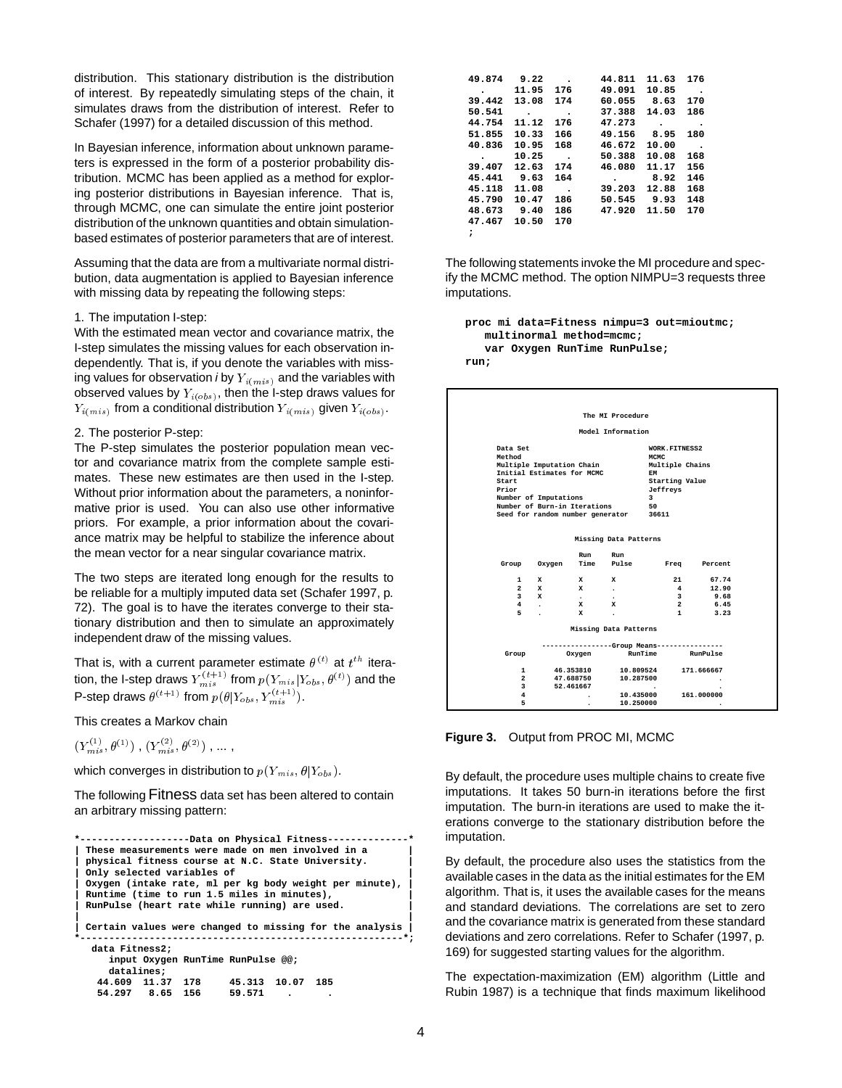distribution. This stationary distribution is the distribution of interest. By repeatedly simulating steps of the chain, it simulates draws from the distribution of interest. Refer to Schafer (1997) for a detailed discussion of this method.

In Bayesian inference, information about unknown parameters is expressed in the form of a posterior probability distribution. MCMC has been applied as a method for exploring posterior distributions in Bayesian inference. That is, through MCMC, one can simulate the entire joint posterior distribution of the unknown quantities and obtain simulationbased estimates of posterior parameters that are of interest.

Assuming that the data are from a multivariate normal distribution, data augmentation is applied to Bayesian inference with missing data by repeating the following steps:

#### 1. The imputation I-step:

With the estimated mean vector and covariance matrix, the I-step simulates the missing values for each observation independently. That is, if you denote the variables with missing values for observation i by  $Y_{i(mis)}$  and the variables with observed values by  $Y_{i(obs)}$ , then the I-step draws values for  $Y_{i(mis)}$  from a conditional distribution  $Y_{i(mis)}$  given  $Y_{i(obs)}$ .

#### 2. The posterior P-step:

The P-step simulates the posterior population mean vector and covariance matrix from the complete sample estimates. These new estimates are then used in the I-step. Without prior information about the parameters, a noninformative prior is used. You can also use other informative priors. For example, a prior information about the covariance matrix may be helpful to stabilize the inference about the mean vector for a near singular covariance matrix.

The two steps are iterated long enough for the results to be reliable for a multiply imputed data set (Schafer 1997, p. 72). The goal is to have the iterates converge to their stationary distribution and then to simulate an approximately independent draw of the missing values.

That is, with a current parameter estimate  $\theta^{(t)}$  at  $t^{th}$  iteration, the I-step draws  $Y_{mis}^{(t+1)}$  from  $p(Y_{mis}|Y_{obs},\theta^{(t)})$  and the P-step draws  $\theta^{(t+1)}$  from  $p(\theta|Y_{obs}, Y_{mis}^{(t+1)})$ .

This creates a Markov chain

 $(Y^{\scriptscriptstyle (1)}_{mis}, \theta^{\scriptscriptstyle (1)})$  ,  $(Y^{\scriptscriptstyle (2)}_{mis}, \theta^{\scriptscriptstyle (2)})$  , ... ,

which converges in distribution to  $p(Y_{mis}, \theta|Y_{obs})$ .

The following Fitness data set has been altered to contain an arbitrary missing pattern:

```
*-------------------Data on Physical Fitness--------------*
 | These measurements were made on men involved in a |
 | physical fitness course at N.C. State University. |
 | Only selected variables of |
 | Oxygen (intake rate, ml per kg body weight per minute), |
 | Runtime (time to run 1.5 miles in minutes), |
 | RunPulse (heart rate while running) are used. |
| |
 | Certain values were changed to missing for the analysis |
*--------------------------------------------------------*;
  data Fitness2;
     input Oxygen RunTime RunPulse @@;
     datalines;
   44.609 11.37 178 45.313 10.07 185
   54.297 8.65 156 59.571 . .
```

| 49.874 | 9.22  |           | 44.811 | 11.63 | 176 |
|--------|-------|-----------|--------|-------|-----|
| ٠      | 11.95 | 176       | 49.091 | 10.85 | ٠   |
| 39.442 | 13.08 | 174       | 60.055 | 8.63  | 170 |
| 50.541 |       | $\bullet$ | 37.388 | 14.03 | 186 |
| 44.754 | 11.12 | 176       | 47.273 | ٠     |     |
| 51.855 | 10.33 | 166       | 49.156 | 8.95  | 180 |
| 40.836 | 10.95 | 168       | 46.672 | 10.00 |     |
| ۰      | 10.25 | $\bullet$ | 50.388 | 10.08 | 168 |
| 39.407 | 12.63 | 174       | 46.080 | 11.17 | 156 |
| 45.441 | 9.63  | 164       | ٠      | 8.92  | 146 |
| 45.118 | 11.08 |           | 39,203 | 12.88 | 168 |
| 45.790 | 10.47 | 186       | 50.545 | 9.93  | 148 |
| 48.673 | 9.40  | 186       | 47.920 | 11.50 | 170 |
| 47.467 | 10.50 | 170       |        |       |     |
| ;      |       |           |        |       |     |

The following statements invoke the MI procedure and specify the MCMC method. The option NIMPU=3 requests three imputations.

```
proc mi data=Fitness nimpu=3 out=mioutmc;
  multinormal method=mcmc;
   var Oxygen RunTime RunPulse;
run;
```

|                                      |                                                                                                                  |                           | The MI Procedure                           |                                                                                                |          |  |
|--------------------------------------|------------------------------------------------------------------------------------------------------------------|---------------------------|--------------------------------------------|------------------------------------------------------------------------------------------------|----------|--|
|                                      |                                                                                                                  |                           | Model Information                          |                                                                                                |          |  |
| Data Set<br>Method<br>Start<br>Prior | Multiple Imputation Chain<br>Initial Estimates for MCMC<br>Number of Imputations<br>Number of Burn-in Iterations |                           |                                            | WORK.FITNESS2<br>MCMC<br>Multiple Chains<br><b>EM</b><br>Starting Value<br>Jeffreys<br>3<br>50 |          |  |
|                                      |                                                                                                                  |                           | Seed for random number generator 36611     |                                                                                                |          |  |
|                                      | Group Oxygen                                                                                                     | Run                       | Missing Data Patterns<br>Run<br>Time Pulse | Freq Percent                                                                                   |          |  |
|                                      | 1 X                                                                                                              | $\mathbf{x}$ $\mathbf{x}$ |                                            |                                                                                                | 21 67.74 |  |
|                                      | $2 \times x$                                                                                                     |                           | $\sim 100$                                 |                                                                                                | 4 12.90  |  |
|                                      | $3 \times X$                                                                                                     | $\sim$ 100 $\sim$         | $\cdot$                                    |                                                                                                | 3 9.68   |  |
|                                      | 4 . X X                                                                                                          |                           |                                            | $\overline{\mathbf{2}}$                                                                        | 6.45     |  |
| 5                                    | $\cdot$                                                                                                          | $\mathbf{x}$              | $\ddot{\phantom{a}}$                       | $\mathbf{1}$                                                                                   | 3.23     |  |
|                                      |                                                                                                                  |                           | Missing Data Patterns                      |                                                                                                |          |  |
|                                      |                                                                                                                  |                           |                                            | --------------Group Means----------------                                                      |          |  |
| Group                                |                                                                                                                  |                           |                                            | Oxygen RunTime RunPulse                                                                        |          |  |
| 1.                                   |                                                                                                                  |                           |                                            | 46.353810 10.809524 171.666667                                                                 |          |  |
| $\mathbf{2}$                         |                                                                                                                  |                           | 47.688750 10.287500                        |                                                                                                |          |  |
| 3                                    |                                                                                                                  | 52,461667                 |                                            |                                                                                                |          |  |
| 4                                    |                                                                                                                  | ٠                         |                                            | 10.435000 161.000000                                                                           |          |  |
| 5                                    |                                                                                                                  | ٠                         | 10.250000                                  |                                                                                                |          |  |

**Figure 3.** Output from PROC MI, MCMC

By default, the procedure uses multiple chains to create five imputations. It takes 50 burn-in iterations before the first imputation. The burn-in iterations are used to make the iterations converge to the stationary distribution before the imputation.

By default, the procedure also uses the statistics from the available cases in the data as the initial estimates for the EM algorithm. That is, it uses the available cases for the means and standard deviations. The correlations are set to zero and the covariance matrix is generated from these standard deviations and zero correlations. Refer to Schafer (1997, p. 169) for suggested starting values for the algorithm.

The expectation-maximization (EM) algorithm (Little and Rubin 1987) is a technique that finds maximum likelihood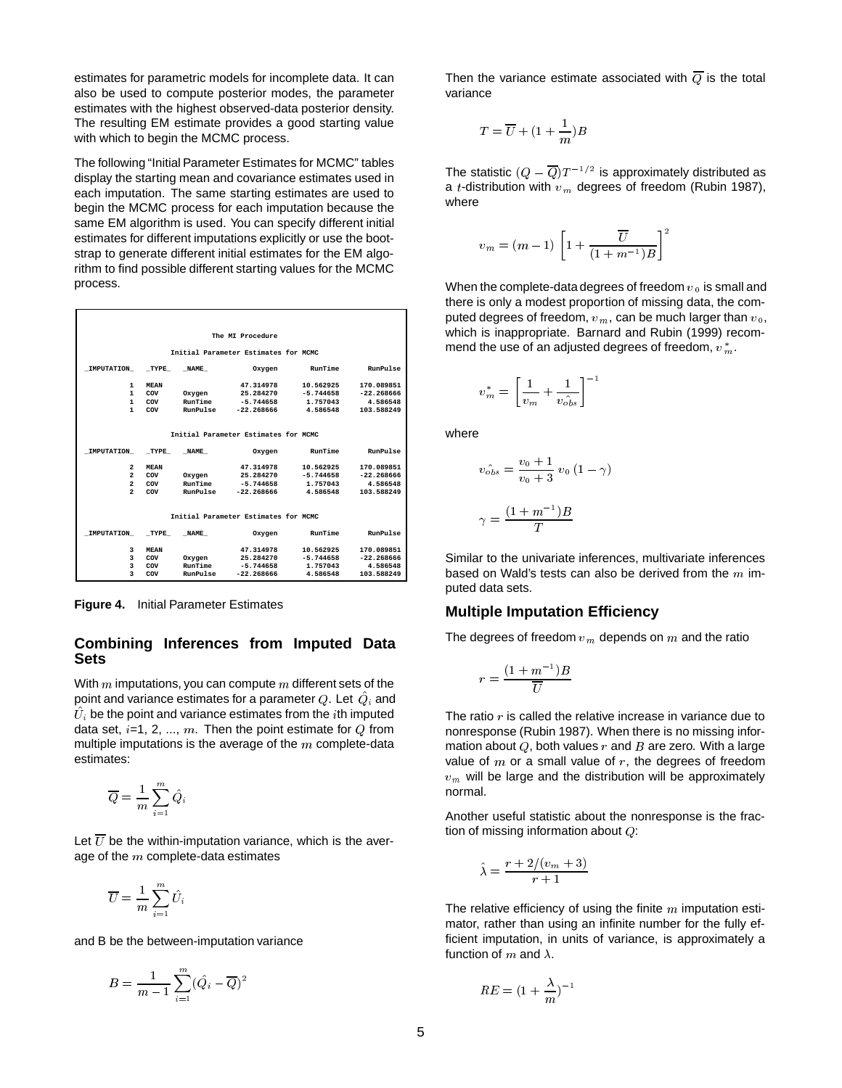estimates for parametric models for incomplete data. It can also be used to compute posterior modes, the parameter estimates with the highest observed-data posterior density. The resulting EM estimate provides a good starting value with which to begin the MCMC process.

The following "Initial Parameter Estimates for MCMC" tables display the starting mean and covariance estimates used in each imputation. The same starting estimates are used to begin the MCMC process for each imputation because the same EM algorithm is used. You can specify different initial estimates for different imputations explicitly or use the bootstrap to generate different initial estimates for the EM algorithm to find possible different starting values for the MCMC process.

|                 |             |                 | The MI Procedure                     |             |                 |
|-----------------|-------------|-----------------|--------------------------------------|-------------|-----------------|
|                 |             |                 | Initial Parameter Estimates for MCMC |             |                 |
| IMPUTATION TYPE |             | <b>NAME</b>     | Oxygen                               | RunTime     | <b>RunPulse</b> |
| 1               | <b>MEAN</b> |                 | 47.314978                            | 10.562925   | 170.089851      |
| 1.              | COV         | Oxygen          | 25.284270                            | $-5.744658$ | $-22.268666$    |
| 1               | COV         | RunTime         | $-5.744658$                          | 1.757043    | 4.586548        |
| 1               | COV         | RunPulse        | $-22.268666$                         | 4.586548    | 103.588249      |
|                 |             |                 |                                      |             |                 |
|                 |             |                 | Initial Parameter Estimates for MCMC |             |                 |
|                 |             |                 |                                      |             |                 |
| IMPUTATION TYPE |             | <b>NAME</b>     | Oxygen                               | RunTime     | RunPulse        |
| $\overline{a}$  | <b>MEAN</b> |                 | 47.314978                            | 10.562925   | 170.089851      |
| $\overline{a}$  | COV         | Oxygen          | 25.284270                            | $-5.744658$ | $-22.268666$    |
| $\overline{2}$  | COV         | RunTime         | $-5.744658$                          | 1.757043    | 4.586548        |
| $\overline{a}$  | COV         | RunPulse        | $-22.268666$                         | 4.586548    | 103.588249      |
|                 |             |                 |                                      |             |                 |
|                 |             |                 | Initial Parameter Estimates for MCMC |             |                 |
| IMPUTATION TYPE |             | <b>NAME</b>     | Oxygen                               | RunTime     | <b>RunPulse</b> |
| 3               | <b>MEAN</b> |                 | 47.314978                            | 10.562925   | 170.089851      |
| 3               | COV         | Oxygen          | 25.284270                            | $-5.744658$ | $-22.268666$    |
| 3               | COV         | RunTime         | $-5.744658$                          | 1.757043    | 4.586548        |
| 3               | COV         | <b>RunPulse</b> | $-22.268666$                         | 4.586548    | 103.588249      |
|                 |             |                 |                                      |             |                 |

**Figure 4.** Initial Parameter Estimates

#### **Combining Inferences from Imputed Data Sets**

With  $m$  imputations, you can compute  $m$  different sets of the point and variance estimates for a parameter  $Q.$  Let  $\overline{Q}_i$  and  $\bar{U}_i$  be the point and variance estimates from the  $i$ th imputed data set,  $i=1, 2, ..., m$ . Then the point estimate for Q from multiple imputations is the average of the  $m$  complete-data estimates:

$$
\overline{Q}=\frac{1}{m}\sum_{i=1}^m \hat{Q_i}
$$

Let  $\overline{U}$  be the within-imputation variance, which is the average of the  $m$  complete-data estimates

$$
\overline{U} = \frac{1}{m} \sum_{i=1}^m \hat{U}_i
$$

and B be the between-imputation variance

$$
B = \frac{1}{m-1} \sum_{i=1}^{m} (\hat{Q}_i - \overline{Q})^2
$$

Then the variance estimate associated with  $\overline{Q}$  is the total variance

$$
T = \overline{U} + (1 + \frac{1}{m})B
$$

The statistic  $(Q - \overline{Q})T^{-1/2}$  is approximately distributed as a *t*-distribution with  $v_m$  degrees of freedom (Rubin 1987), where

$$
v_m=(m-1)\,\left[1+\frac{\overline{U}}{(1+m^{-1})B}\right]^2
$$

When the complete-data degrees of freedom  $v_0$  is small and there is only a modest proportion of missing data, the computed degrees of freedom,  $v_m$ , can be much larger than  $v_0$ , which is inappropriate. Barnard and Rubin (1999) recommend the use of an adjusted degrees of freedom,  $v\,m}^{\ast}$  .

$$
v_m^* = \left[\frac{1}{v_m} + \frac{1}{v_{obs}^{\hat{}}}\right]^{-1}
$$

where

$$
v_{obs}^{*} = \frac{v_0 + 1}{v_0 + 3} v_0 (1 - \gamma)
$$

$$
\gamma = \frac{(1 + m^{-1})B}{T}
$$

Similar to the univariate inferences, multivariate inferences based on Wald's tests can also be derived from the  $m$  imputed data sets.

#### **Multiple Imputation Efficiency**

The degrees of freedom  $v_m$  depends on m and the ratio

$$
r=\frac{(1+m^{-1})B}{\overline{U}}
$$

The ratio  $r$  is called the relative increase in variance due to nonresponse (Rubin 1987). When there is no missing information about  $Q$ , both values r and  $B$  are zero. With a large value of  $m$  or a small value of  $r$ , the degrees of freedom  $v_m$  will be large and the distribution will be approximately normal.

Another useful statistic about the nonresponse is the fraction of missing information about  $Q$ :

$$
\hat{\lambda} = \frac{r + 2/(v_m + 3)}{r + 1}
$$

The relative efficiency of using the finite  $m$  imputation estimator, rather than using an infinite number for the fully efficient imputation, in units of variance, is approximately a function of  $m$  and  $\lambda$ .

$$
RE=(1+\frac{\lambda}{m})^{-1}
$$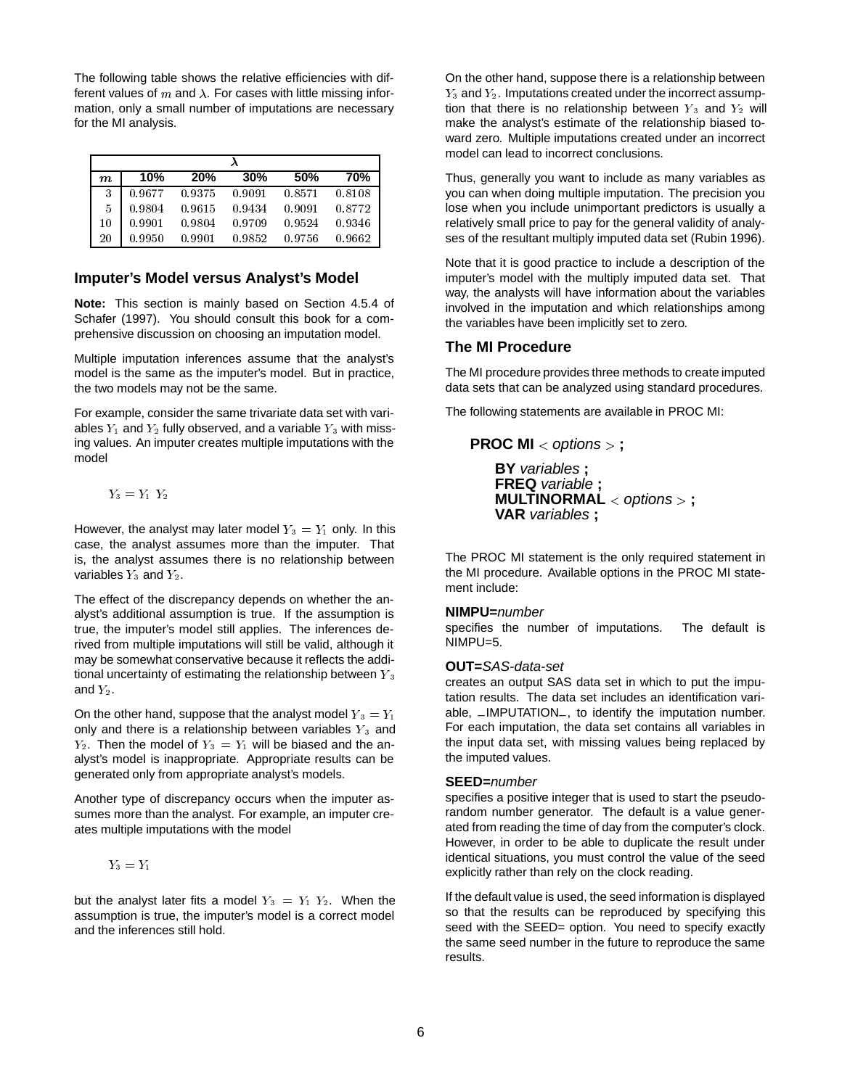The following table shows the relative efficiencies with different values of  $m$  and  $\lambda$ . For cases with little missing information, only a small number of imputations are necessary for the MI analysis.

| $\boldsymbol{m}$ | 10%    | <b>20%</b> | 30%    | 50%    | 70%    |
|------------------|--------|------------|--------|--------|--------|
| 3                | 0.9677 | 0.9375     | 0.9091 | 0.8571 | 0.8108 |
| 5                | 0.9804 | 0.9615     | 0.9434 | 0.9091 | 0.8772 |
| 10               | 0.9901 | 0.9804     | 0.9709 | 0.9524 | 0.9346 |
| 20               | 0.9950 | 0.9901     | 0.9852 | 0.9756 | 0.9662 |

#### **Imputer's Model versus Analyst's Model**

**Note:** This section is mainly based on Section 4.5.4 of Schafer (1997). You should consult this book for a comprehensive discussion on choosing an imputation model.

Multiple imputation inferences assume that the analyst's model is the same as the imputer's model. But in practice, the two models may not be the same.

For example, consider the same trivariate data set with variables  $Y_1$  and  $Y_2$  fully observed, and a variable  $Y_3$  with missing values. An imputer creates multiple imputations with the model

 $Y_3 = Y_1 Y_2$ 

However, the analyst may later model  $Y_3 = Y_1$  only. In this case, the analyst assumes more than the imputer. That is, the analyst assumes there is no relationship between variables  $Y_3$  and  $Y_2$ .

The effect of the discrepancy depends on whether the analyst's additional assumption is true. If the assumption is true, the imputer's model still applies. The inferences derived from multiple imputations will still be valid, although it may be somewhat conservative because it reflects the additional uncertainty of estimating the relationship between  $Y_3$ and  $Y_2$ .

On the other hand, suppose that the analyst model  $Y_3 = Y_1$ only and there is a relationship between variables  $Y_3$  and  $Y_2$ . Then the model of  $Y_3 = Y_1$  will be biased and the analyst's model is inappropriate. Appropriate results can be generated only from appropriate analyst's models.

Another type of discrepancy occurs when the imputer assumes more than the analyst. For example, an imputer creates multiple imputations with the model

$$
Y_3=Y_1
$$

but the analyst later fits a model  $Y_3 = Y_1 Y_2$ . When the assumption is true, the imputer's model is a correct model and the inferences still hold.

On the other hand, suppose there is a relationship between  $Y_3$  and  $Y_2$ . Imputations created under the incorrect assumption that there is no relationship between  $Y_3$  and  $Y_2$  will make the analyst's estimate of the relationship biased toward zero. Multiple imputations created under an incorrect model can lead to incorrect conclusions.

Thus, generally you want to include as many variables as you can when doing multiple imputation. The precision you lose when you include unimportant predictors is usually a relatively small price to pay for the general validity of analyses of the resultant multiply imputed data set (Rubin 1996).

Note that it is good practice to include a description of the imputer's model with the multiply imputed data set. That way, the analysts will have information about the variables involved in the imputation and which relationships among the variables have been implicitly set to zero.

#### **The MI Procedure**

The MI procedure provides three methods to create imputed data sets that can be analyzed using standard procedures.

The following statements are available in PROC MI:

**PROC MI** <sup>&</sup>lt; options <sup>&</sup>gt; **; BY** variables **; FREQ** variable **; MULTINORMAL** <sup>&</sup>lt; options <sup>&</sup>gt; **; VAR** variables **;**

The PROC MI statement is the only required statement in the MI procedure. Available options in the PROC MI statement include:

#### **NIMPU=**number

specifies the number of imputations. The default is NIMPU=5.

#### **OUT=**SAS-data-set

creates an output SAS data set in which to put the imputation results. The data set includes an identification variable, –IMPUTATION–, to identify the imputation number. For each imputation, the data set contains all variables in the input data set, with missing values being replaced by the imputed values.

#### **SEED=**number

specifies a positive integer that is used to start the pseudorandom number generator. The default is a value generated from reading the time of day from the computer's clock. However, in order to be able to duplicate the result under identical situations, you must control the value of the seed explicitly rather than rely on the clock reading.

If the default value is used, the seed information is displayed so that the results can be reproduced by specifying this seed with the SEED= option. You need to specify exactly the same seed number in the future to reproduce the same results.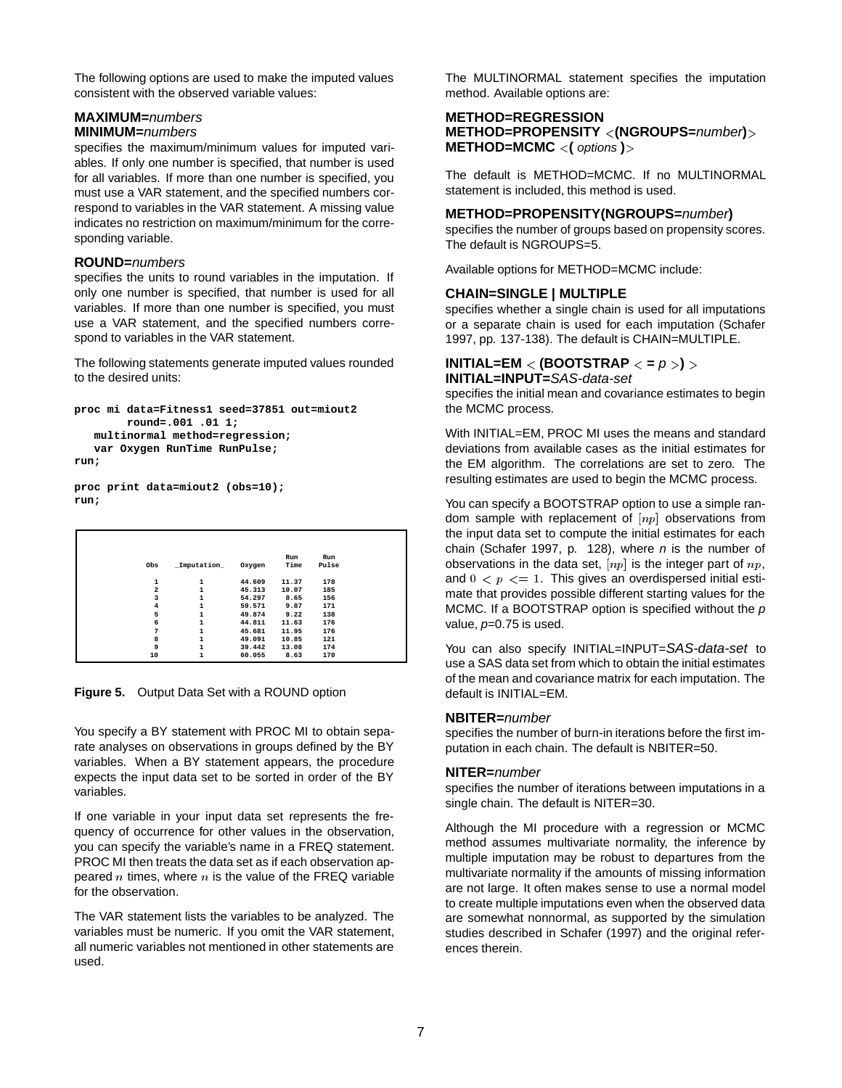The following options are used to make the imputed values consistent with the observed variable values:

# **MAXIMUM=**numbers

### **MINIMUM=**numbers

specifies the maximum/minimum values for imputed variables. If only one number is specified, that number is used for all variables. If more than one number is specified, you must use a VAR statement, and the specified numbers correspond to variables in the VAR statement. A missing value indicates no restriction on maximum/minimum for the corresponding variable.

### **ROUND=**numbers

specifies the units to round variables in the imputation. If only one number is specified, that number is used for all variables. If more than one number is specified, you must use a VAR statement, and the specified numbers correspond to variables in the VAR statement.

The following statements generate imputed values rounded to the desired units:

```
proc mi data=Fitness1 seed=37851 out=miout2
        round=.001 .01 1;
   multinormal method=regression;
   var Oxygen RunTime RunPulse;
run;
```

```
proc print data=miout2 (obs=10);
run;
```

| Obs                     | Imputation | Oxygen | Run<br>Time | Run<br>Pulse |
|-------------------------|------------|--------|-------------|--------------|
| ı                       | 1          | 44.609 | 11.37       | 178          |
| $\overline{\mathbf{2}}$ | 1          | 45.313 | 10.07       | 185          |
| 3                       |            | 54.297 | 8.65        | 156          |
| $\overline{4}$          | 1          | 59.571 | 9.87        | 171          |
| 5                       | 1          | 49.874 | 9.22        | 138          |
| 6                       |            | 44.811 | 11.63       | 176          |
| 7                       | 1          | 45.681 | 11.95       | 176          |
| 8                       | 1          | 49.091 | 10.85       | 121          |
| 9                       | 1          | 39.442 | 13.08       | 174          |
| 10                      |            | 60.055 | 8.63        | 170          |

**Figure 5.** Output Data Set with a ROUND option

You specify a BY statement with PROC MI to obtain separate analyses on observations in groups defined by the BY variables. When a BY statement appears, the procedure expects the input data set to be sorted in order of the BY variables.

If one variable in your input data set represents the frequency of occurrence for other values in the observation, you can specify the variable's name in a FREQ statement. PROC MI then treats the data set as if each observation appeared n times, where  $n$  is the value of the FREQ variable for the observation.

The VAR statement lists the variables to be analyzed. The variables must be numeric. If you omit the VAR statement, all numeric variables not mentioned in other statements are used.

The MULTINORMAL statement specifies the imputation method. Available options are:

#### **METHOD=REGRESSION METHOD=PROPENSITY** <sup>&</sup>lt;**(NGROUPS=**number**)**<sup>&</sup>gt; **METHOD=MCMC** <sup>&</sup>lt;**(** options **)**<sup>&</sup>gt;

The default is METHOD=MCMC. If no MULTINORMAL statement is included, this method is used.

#### **METHOD=PROPENSITY(NGROUPS=**number**)**

specifies the number of groups based on propensity scores. The default is NGROUPS=5.

Available options for METHOD=MCMC include:

#### **CHAIN=SINGLE | MULTIPLE**

specifies whether a single chain is used for all imputations or a separate chain is used for each imputation (Schafer 1997, pp. 137-138). The default is CHAIN=MULTIPLE.

# **INITIAL=EM** <sup>&</sup>lt; **(BOOTSTRAP** <sup>&</sup>lt; **=** p <sup>&</sup>gt;**)** <sup>&</sup>gt;

**INITIAL=INPUT=**SAS-data-set specifies the initial mean and covariance estimates to begin the MCMC process.

With INITIAL=EM, PROC MI uses the means and standard deviations from available cases as the initial estimates for the EM algorithm. The correlations are set to zero. The resulting estimates are used to begin the MCMC process.

You can specify a BOOTSTRAP option to use a simple random sample with replacement of  $[np]$  observations from the input data set to compute the initial estimates for each chain (Schafer 1997, p. 128), where  $n$  is the number of observations in the data set,  $[np]$  is the integer part of  $np$ , and  $0 < p \leq 1$ . This gives an overdispersed initial estimate that provides possible different starting values for the MCMC. If a BOOTSTRAP option is specified without the  $p$ value,  $p=0.75$  is used.

You can also specify INITIAL=INPUT=SAS-data-set to use a SAS data set from which to obtain the initial estimates of the mean and covariance matrix for each imputation. The default is INITIAL=EM.

### **NBITER=**number

specifies the number of burn-in iterations before the first imputation in each chain. The default is NBITER=50.

#### **NITER=**number

specifies the number of iterations between imputations in a single chain. The default is NITER=30.

Although the MI procedure with a regression or MCMC method assumes multivariate normality, the inference by multiple imputation may be robust to departures from the multivariate normality if the amounts of missing information are not large. It often makes sense to use a normal model to create multiple imputations even when the observed data are somewhat nonnormal, as supported by the simulation studies described in Schafer (1997) and the original references therein.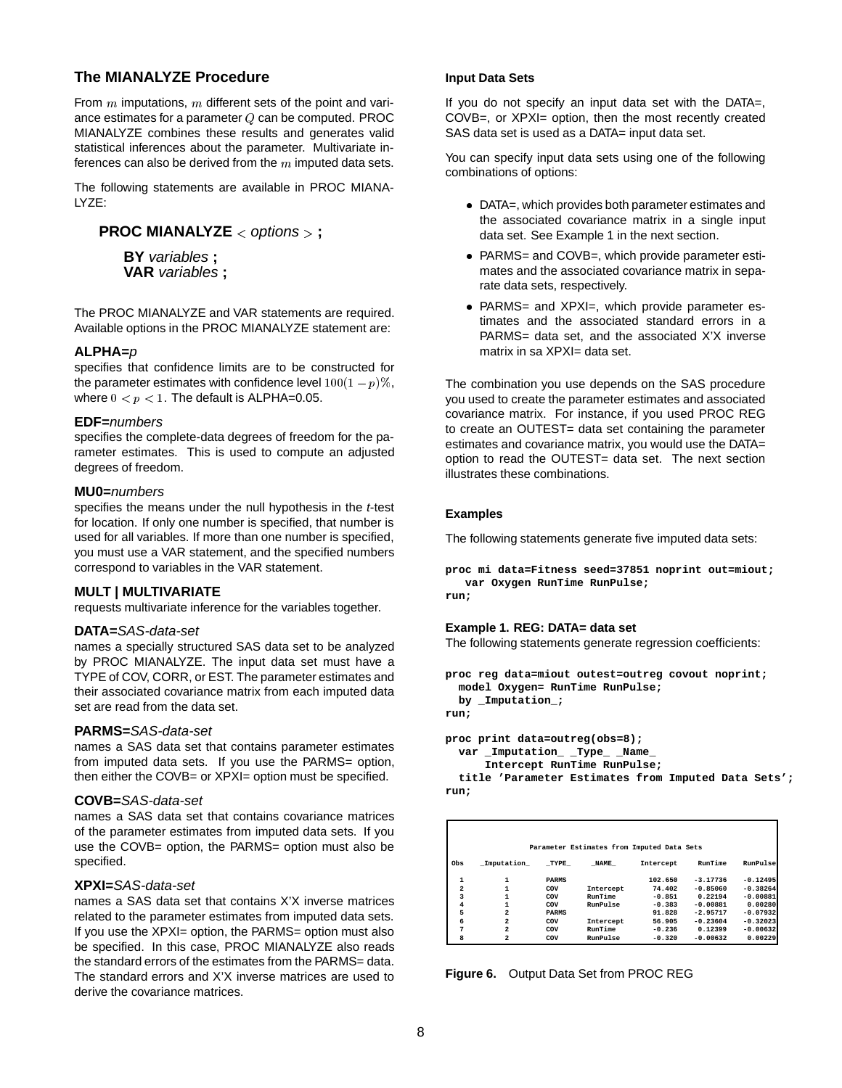# **The MIANALYZE Procedure**

From  $m$  imputations,  $m$  different sets of the point and variance estimates for a parameter Q can be computed. PROC MIANALYZE combines these results and generates valid statistical inferences about the parameter. Multivariate inferences can also be derived from the  $m$  imputed data sets.

The following statements are available in PROC MIANA-LYZE:

```
PROC MIANALYZE < options > ;
```
**BY** variables **; VAR** variables **;**

The PROC MIANALYZE and VAR statements are required. Available options in the PROC MIANALYZE statement are:

### **ALPHA=**p

specifies that confidence limits are to be constructed for the parameter estimates with confidence level  $100(1 - p)\%$ , where  $0 < p < 1$ . The default is ALPHA=0.05.

#### **EDF=**numbers

specifies the complete-data degrees of freedom for the parameter estimates. This is used to compute an adjusted degrees of freedom.

#### **MU0=**numbers

specifies the means under the null hypothesis in the *t*-test for location. If only one number is specified, that number is used for all variables. If more than one number is specified, you must use a VAR statement, and the specified numbers correspond to variables in the VAR statement.

### **MULT | MULTIVARIATE**

requests multivariate inference for the variables together.

#### **DATA=**SAS-data-set

names a specially structured SAS data set to be analyzed by PROC MIANALYZE. The input data set must have a TYPE of COV, CORR, or EST. The parameter estimates and their associated covariance matrix from each imputed data set are read from the data set.

#### **PARMS=**SAS-data-set

names a SAS data set that contains parameter estimates from imputed data sets. If you use the PARMS= option, then either the COVB= or XPXI= option must be specified.

#### **COVB=**SAS-data-set

names a SAS data set that contains covariance matrices of the parameter estimates from imputed data sets. If you use the COVB= option, the PARMS= option must also be specified.

#### **XPXI=**SAS-data-set

names a SAS data set that contains X'X inverse matrices related to the parameter estimates from imputed data sets. If you use the XPXI= option, the PARMS= option must also be specified. In this case, PROC MIANALYZE also reads the standard errors of the estimates from the PARMS= data. The standard errors and X'X inverse matrices are used to derive the covariance matrices.

#### **Input Data Sets**

If you do not specify an input data set with the DATA=, COVB=, or XPXI= option, then the most recently created SAS data set is used as a DATA= input data set.

You can specify input data sets using one of the following combinations of options:

- DATA=, which provides both parameter estimates and the associated covariance matrix in a single input data set. See Example 1 in the next section.
- PARMS= and COVB=, which provide parameter estimates and the associated covariance matrix in separate data sets, respectively.
- PARMS= and XPXI=, which provide parameter estimates and the associated standard errors in a PARMS= data set, and the associated X'X inverse matrix in sa XPXI= data set.

The combination you use depends on the SAS procedure you used to create the parameter estimates and associated covariance matrix. For instance, if you used PROC REG to create an OUTEST= data set containing the parameter estimates and covariance matrix, you would use the DATA= option to read the OUTEST= data set. The next section illustrates these combinations.

#### **Examples**

The following statements generate five imputed data sets:

```
proc mi data=Fitness seed=37851 noprint out=miout;
   var Oxygen RunTime RunPulse;
run;
```
**Example 1. REG: DATA= data set** The following statements generate regression coefficients:

```
proc reg data=miout outest=outreg covout noprint;
 model Oxygen= RunTime RunPulse;
 by _Imputation_;
run;
```

```
proc print data=outreg(obs=8);
 var _Imputation_ _Type_ _Name_
```

```
Intercept RunTime RunPulse;
```
**title 'Parameter Estimates from Imputed Data Sets'; run;**

|                |                |              | Parameter Estimates from Imputed Data Sets |           |            |            |
|----------------|----------------|--------------|--------------------------------------------|-----------|------------|------------|
| Obs            | Imputation     | TYPE         | <b>NAME</b>                                | Intercept | RunTime    | RunPulse   |
| 1              | 1              | <b>PARMS</b> |                                            | 102.650   | $-3.17736$ | $-0.12495$ |
| $\overline{a}$ | 1              | COV          | Intercept                                  | 74.402    | $-0.85060$ | $-0.38264$ |
| 3              | $\mathbf{1}$   | COV          | RunTime                                    | $-0.851$  | 0.22194    | $-0.00881$ |
| 4              | 1              | COV          | <b>RunPulse</b>                            | $-0.383$  | $-0.00881$ | 0.00280    |
| 5              | $\overline{a}$ | <b>PARMS</b> |                                            | 91.828    | $-2.95717$ | $-0.07932$ |
| 6              | $\overline{a}$ | COV          | Intercept                                  | 56.905    | $-0.23604$ | $-0.32023$ |
| 7              | $\overline{a}$ | COV          | RunTime                                    | $-0.236$  | 0.12399    | $-0.00632$ |
| 8              |                | COV          | RunPulse                                   | $-0.320$  | $-0.00632$ | 0.00229    |

**Figure 6.** Output Data Set from PROC REG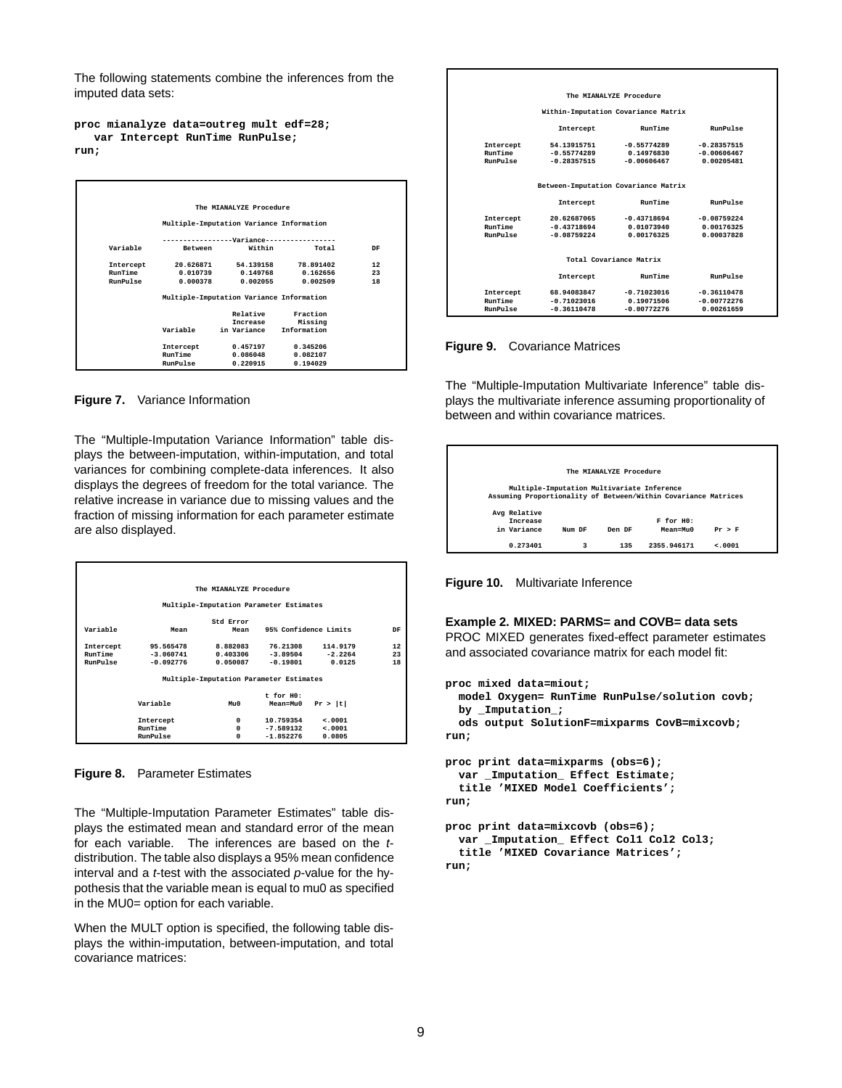The following statements combine the inferences from the imputed data sets:

**proc mianalyze data=outreg mult edf=28; var Intercept RunTime RunPulse; run;**



**Figure 7.** Variance Information

The "Multiple-Imputation Variance Information" table displays the between-imputation, within-imputation, and total variances for combining complete-data inferences. It also displays the degrees of freedom for the total variance. The relative increase in variance due to missing values and the fraction of missing information for each parameter estimate are also displayed.

|           |             | The MIANALYZE Procedure                 |                |                       |    |
|-----------|-------------|-----------------------------------------|----------------|-----------------------|----|
|           |             | Multiple-Imputation Parameter Estimates |                |                       |    |
|           |             | Std Error                               |                |                       |    |
| Variable  | Mean        | Mean                                    |                | 95% Confidence Limits | DF |
| Intercept | 95.565478   | 8.882083                                | 76.21308       | 114,9179              | 12 |
| RunTime   | $-3.060741$ | 0.403306                                | $-3.89504$     | $-2.2264$             | 23 |
| RunPulse  | -0.092776   | 0.050087                                | $-0.19801$     | 0.0125                | 18 |
|           |             | Multiple-Imputation Parameter Estimates |                |                       |    |
|           |             |                                         | $t$ for $H0$ : |                       |    |
|           | Variable    | M110                                    |                |                       |    |
|           |             |                                         | Mean=Mu0       | Pr >  t               |    |
|           | Intercept   | $\Omega$                                | 10.759354      | < .0001               |    |
|           | RunTime     | $\Omega$                                | $-7.589132$    | < 0.001               |    |
|           | RunPulse    | 0                                       | $-1.852276$    | 0.0805                |    |

**Figure 8.** Parameter Estimates

The "Multiple-Imputation Parameter Estimates" table displays the estimated mean and standard error of the mean for each variable. The inferences are based on the tdistribution. The table also displays a 95% mean confidence interval and a *t*-test with the associated  $p$ -value for the hypothesis that the variable mean is equal to mu0 as specified in the MU0= option for each variable.

When the MULT option is specified, the following table displays the within-imputation, between-imputation, and total covariance matrices:

|                |               | The MIANALYZE Procedure              |                 |  |
|----------------|---------------|--------------------------------------|-----------------|--|
|                |               | Within-Imputation Covariance Matrix  |                 |  |
|                | Intercept     | RunTime                              | <b>RunPulse</b> |  |
| Intercept      | 54.13915751   | $-0.55774289$                        | $-0.28357515$   |  |
| RunTime        | $-0.55774289$ | 0.14976830                           | $-0.00606467$   |  |
| RunPulse       | $-0.28357515$ | $-0.00606467$                        | 0.00205481      |  |
|                |               |                                      |                 |  |
|                |               | Between-Imputation Covariance Matrix |                 |  |
|                | Intercept     | RunTime                              | <b>RunPulse</b> |  |
| Intercept      | 20.62687065   | $-0.43718694$                        | $-0.08759224$   |  |
| <b>RunTime</b> | $-0.43718694$ | 0.01073940                           | 0.00176325      |  |
| RunPulse       | $-0.08759224$ | 0.00176325                           | 0.00037828      |  |
|                |               |                                      |                 |  |
|                |               | Total Covariance Matrix              |                 |  |
|                | Intercept     | RunTime                              | <b>RunPulse</b> |  |
| Intercept      | 68.94083847   | $-0.71023016$                        | $-0.36110478$   |  |
| RunTime        | $-0.71023016$ | 0.19071506                           | $-0.00772276$   |  |
| RunPulse       | $-0.36110478$ | $-0.00772276$                        | 0.00261659      |  |

**Figure 9.** Covariance Matrices

The "Multiple-Imputation Multivariate Inference" table displays the multivariate inference assuming proportionality of between and within covariance matrices.



**Figure 10.** Multivariate Inference

**Example 2. MIXED: PARMS= and COVB= data sets** PROC MIXED generates fixed-effect parameter estimates and associated covariance matrix for each model fit:

```
proc mixed data=miout;
```

```
model Oxygen= RunTime RunPulse/solution covb;
  by _Imputation_;
  ods output SolutionF=mixparms CovB=mixcovb;
run;
proc print data=mixparms (obs=6);
  var _Imputation_ Effect Estimate;
  title 'MIXED Model Coefficients';
run;
proc print data=mixcovb (obs=6);
```

```
var _Imputation_ Effect Col1 Col2 Col3;
  title 'MIXED Covariance Matrices';
run;
```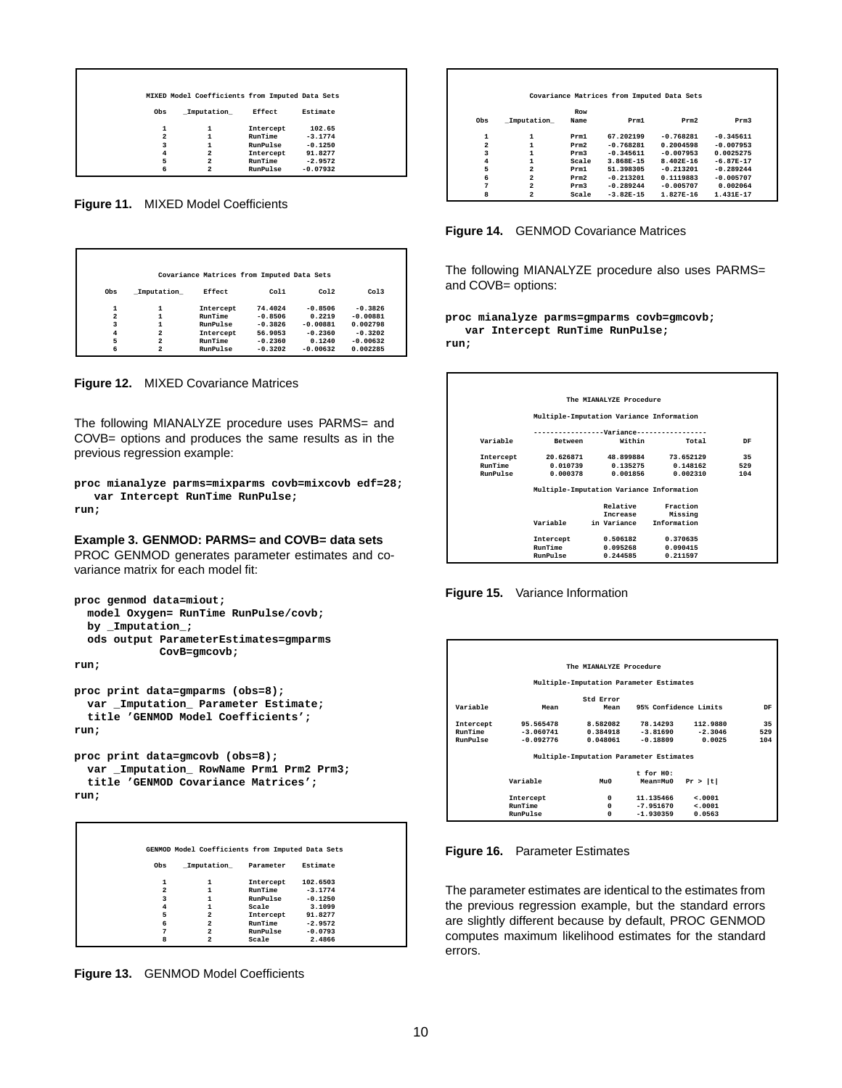|                | MIXED Model Coefficients from Imputed Data Sets |           |            |
|----------------|-------------------------------------------------|-----------|------------|
| Obs            | Imputation                                      | Effect    | Estimate   |
| 1              | 1                                               | Intercept | 102.65     |
| $\overline{a}$ | 1                                               | RunTime   | $-3.1774$  |
| 3              | 1                                               | RunPulse  | $-0.1250$  |
| $\overline{4}$ | 2                                               | Intercept | 91.8277    |
| 5              | 2                                               | RunTime   | $-2.9572$  |
| 6              | $\overline{a}$                                  | RunPulse  | $-0.07932$ |

**Figure 11.** MIXED Model Coefficients

|     |                | Covariance Matrices from Imputed Data Sets |                   |            |            |
|-----|----------------|--------------------------------------------|-------------------|------------|------------|
| Obs | Imputation     | <b>Effect</b>                              | C <sub>0</sub> 11 | Co12       | Co13       |
| 1   | 1              | Intercept                                  | 74.4024           | $-0.8506$  | $-0.3826$  |
| 2   |                | RunTime                                    | $-0.8506$         | 0.2219     | $-0.00881$ |
| 3   |                | RunPulse                                   | $-0.3826$         | $-0.00881$ | 0.002798   |
| 4   | $\overline{a}$ | Intercept                                  | 56.9053           | $-0.2360$  | $-0.3202$  |
| 5   | $\overline{a}$ | RunTime                                    | $-0.2360$         | 0.1240     | $-0.00632$ |
| 6   | $\overline{a}$ | RunPulse                                   | $-0.3202$         | $-0.00632$ | 0.002285   |

**Figure 12.** MIXED Covariance Matrices

The following MIANALYZE procedure uses PARMS= and COVB= options and produces the same results as in the previous regression example:

```
proc mianalyze parms=mixparms covb=mixcovb edf=28;
  var Intercept RunTime RunPulse;
run;
```
#### **Example 3. GENMOD: PARMS= and COVB= data sets**

PROC GENMOD generates parameter estimates and covariance matrix for each model fit:

```
proc genmod data=miout;
 model Oxygen= RunTime RunPulse/covb;
 by _Imputation_;
 ods output ParameterEstimates=gmparms
             CovB=gmcovb;
```
**run;**

```
proc print data=gmparms (obs=8);
 var _Imputation_ Parameter Estimate;
  title 'GENMOD Model Coefficients';
run;
```

```
proc print data=gmcovb (obs=8);
 var _Imputation_ RowName Prm1 Prm2 Prm3;
 title 'GENMOD Covariance Matrices';
run;
```

|                    | GENMOD Model Coefficients from Imputed Data Sets |           |           |
|--------------------|--------------------------------------------------|-----------|-----------|
| Obs                | Imputation                                       | Parameter | Estimate  |
| 1                  | 1                                                | Intercept | 102.6503  |
| $\overline{a}$     | 1                                                | RunTime   | $-3.1774$ |
| 3                  | 1                                                | RunPulse  | $-0.1250$ |
| $\overline{\bf 4}$ | 1                                                | Scale     | 3,1099    |
| 5                  | $\overline{2}$                                   | Intercept | 91.8277   |
| 6                  | $\overline{a}$                                   | RunTime   | $-2.9572$ |
| 7                  | $\overline{a}$                                   | RunPulse  | $-0.0793$ |
| 8                  | $\overline{a}$                                   | Scale     | 2.4866    |

**Figure 13.** GENMOD Model Coefficients

|                |                         |            | Covariance Matrices from Imputed Data Sets |               |             |
|----------------|-------------------------|------------|--------------------------------------------|---------------|-------------|
|                |                         | <b>Row</b> |                                            |               |             |
| Obs            | Imputation              | Name       | Prm1                                       | Prm2          | Prm3        |
| 1              | 1                       | Prm1       | 67.202199                                  | $-0.768281$   | $-0.345611$ |
| $\overline{2}$ |                         | Prm2       | $-0.768281$                                | 0.2004598     | $-0.007953$ |
| 3              |                         | Prm3       | $-0.345611$                                | $-0.007953$   | 0.0025275   |
| $\overline{4}$ | 1                       | Scale      | 3.868E-15                                  | $8.402E - 16$ | $-6.87E-17$ |
| 5              | $\overline{a}$          | Prm1       | 51.398305                                  | $-0.213201$   | $-0.289244$ |
| 6              | $\overline{a}$          | Prm2       | $-0.213201$                                | 0.1119883     | $-0.005707$ |
| 7              | $\overline{a}$          | Prm3       | $-0.289244$                                | $-0.005707$   | 0.002064    |
| 8              | $\overline{\mathbf{2}}$ | Scale      | $-3.82E-15$                                | $1.827E - 16$ | $1.431E-17$ |

**Figure 14.** GENMOD Covariance Matrices

The following MIANALYZE procedure also uses PARMS= and COVB= options:

**proc mianalyze parms=gmparms covb=gmcovb; var Intercept RunTime RunPulse; run;**





|           |             | The MIANALYZE Procedure                 |                       |           |     |
|-----------|-------------|-----------------------------------------|-----------------------|-----------|-----|
|           |             |                                         |                       |           |     |
|           |             | Multiple-Imputation Parameter Estimates |                       |           |     |
|           |             | Std Error                               |                       |           |     |
| Variable  | Mean        | Mean                                    | 95% Confidence Limits |           | DF  |
| Intercept | 95.565478   | 8.582082                                | 78.14293              | 112,9880  | 35  |
| RunTime   | $-3.060741$ | 0.384918                                | $-3.81690$            | $-2.3046$ | 529 |
| RunPulse  | $-0.092776$ | 0.048061                                | $-0.18809$            | 0.0025    | 104 |
|           |             | Multiple-Imputation Parameter Estimates |                       |           |     |
|           |             |                                         | t for HO:             |           |     |
|           | Variable    | M110                                    | Mean=Mu0              | Pr >  t   |     |
|           |             |                                         |                       |           |     |
|           | Intercept   | $\Omega$                                | 11.135466             | < 0.001   |     |
|           | RunTime     | $\Omega$                                | $-7.951670$           | < 0.001   |     |
|           | RunPulse    | $\Omega$                                | $-1.930359$           | 0.0563    |     |

**Figure 16.** Parameter Estimates

The parameter estimates are identical to the estimates from the previous regression example, but the standard errors are slightly different because by default, PROC GENMOD computes maximum likelihood estimates for the standard errors.